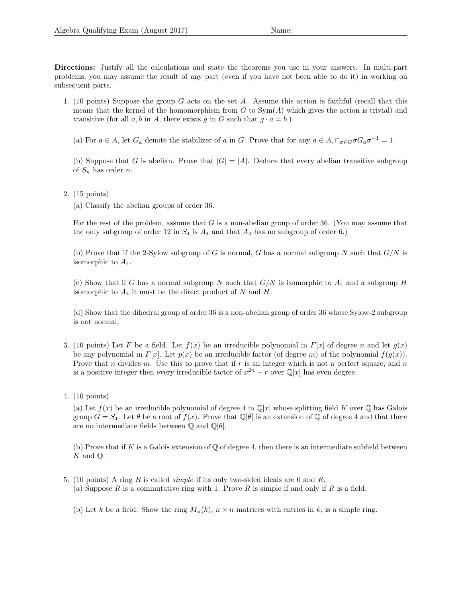Directions: Justify all the calculations and state the theorems you use in your answers. In multi-part problems, you may assume the result of any part (even if you have not been able to do it) in working on subsequent parts.

- 1. (10 points) Suppose the group G acts on the set A. Assume this action is faithful (recall that this means that the kernel of the homomorphism from  $G$  to  $Sym(A)$  which gives the action is trivial) and transitive (for all a, b in A, there exists q in G such that  $q \cdot a = b$ .)
	- (a) For  $a \in A$ , let  $G_a$  denote the stabilizer of a in G. Prove that for any  $a \in A$ ,  $\cap_{\sigma \in G} \sigma G_a \sigma^{-1} = 1$ .

(b) Suppose that G is abelian. Prove that  $|G| = |A|$ . Deduce that every abelian transitive subgroup of  $S_n$  has order n.

2. (15 points)

(a) Classify the abelian groups of order 36.

For the rest of the problem, assume that G is a non-abelian group of order 36. (You may assume that the only subgroup of order 12 in  $S_4$  is  $A_4$  and that  $A_4$  has no subgroup of order 6.)

(b) Prove that if the 2-Sylow subgroup of G is normal, G has a normal subgroup N such that  $G/N$  is isomorphic to  $A_4$ .

(c) Show that if G has a normal subgroup N such that  $G/N$  is isomorphic to  $A_4$  and a subgroup H isomorphic to  $A_4$  it must be the direct product of N and H.

(d) Show that the dihedral group of order 36 is a non-abelian group of order 36 whose Sylow-2 subgroup is not normal.

- 3. (10 points) Let F be a field. Let  $f(x)$  be an irreducible polynomial in  $F[x]$  of degree n and let  $g(x)$ be any polynomial in  $F[x]$ . Let  $p(x)$  be an irreducible factor (of degree m) of the polynomial  $f(q(x))$ . Prove that n divides m. Use this to prove that if  $r$  is an integer which is not a perfect square, and  $n$ is a positive integer then every irreducible factor of  $x^{2n} - r$  over  $\mathbb{Q}[x]$  has even degree.
- 4. (10 points)

(a) Let  $f(x)$  be an irreducible polynomial of degree 4 in  $\mathbb{Q}[x]$  whose splitting field K over  $\mathbb{Q}$  has Galois group  $G = S_4$ . Let  $\theta$  be a root of  $f(x)$ . Prove that  $\mathbb{Q}[\theta]$  is an extension of  $\mathbb Q$  of degree 4 and that there are no intermediate fields between  $\mathbb Q$  and  $\mathbb Q[\theta]$ .

(b) Prove that if K is a Galois extension of  $\mathbb Q$  of degree 4, then there is an intermediate subfield between  $K$  and  $\mathbb{Q}$ .

- 5. (10 points) A ring R is called simple if its only two-sided ideals are 0 and R. (a) Suppose  $R$  is a commutative ring with 1. Prove  $R$  is simple if and only if  $R$  is a field.
	- (b) Let k be a field. Show the ring  $M_n(k)$ ,  $n \times n$  matrices with entries in k, is a simple ring.